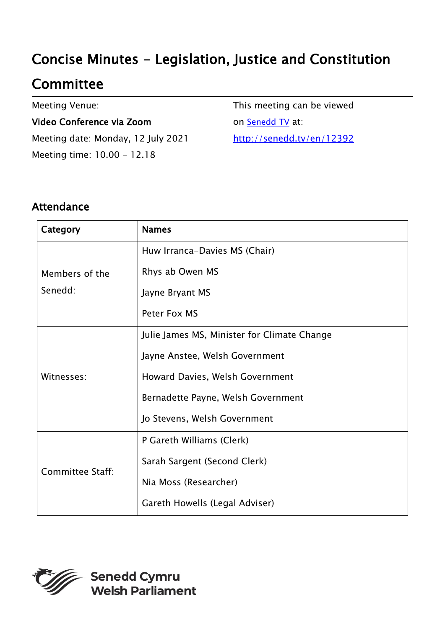# Concise Minutes - Legislation, Justice and Constitution

# **Committee**

Meeting Venue:

#### Video Conference via Zoom

Meeting date: Monday, 12 July 2021 Meeting time: 10.00 - 12.18

This meeting can be viewed on **[Senedd TV](http://senedd.tv/)** at: <http://senedd.tv/en/12392>

### Attendance

| Category                  | <b>Names</b>                                |
|---------------------------|---------------------------------------------|
| Members of the<br>Senedd: | Huw Irranca-Davies MS (Chair)               |
|                           | Rhys ab Owen MS                             |
|                           | Jayne Bryant MS                             |
|                           | Peter Fox MS                                |
| Witnesses:                | Julie James MS, Minister for Climate Change |
|                           | Jayne Anstee, Welsh Government              |
|                           | Howard Davies, Welsh Government             |
|                           | Bernadette Payne, Welsh Government          |
|                           | Jo Stevens, Welsh Government                |
| <b>Committee Staff:</b>   | P Gareth Williams (Clerk)                   |
|                           | Sarah Sargent (Second Clerk)                |
|                           | Nia Moss (Researcher)                       |
|                           | Gareth Howells (Legal Adviser)              |

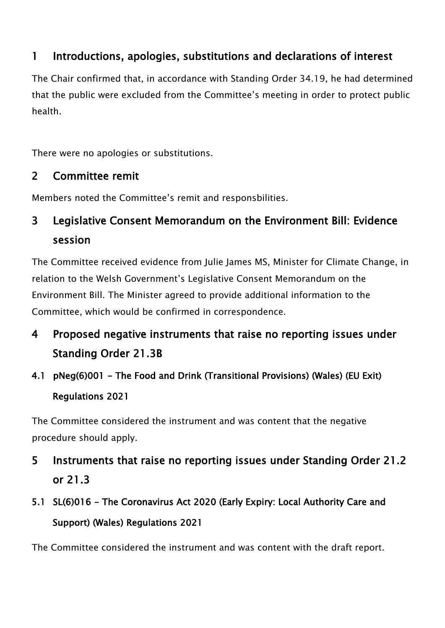### 1 Introductions, apologies, substitutions and declarations of interest

The Chair confirmed that, in accordance with Standing Order 34.19, he had determined that the public were excluded from the Committee's meeting in order to protect public health.

There were no apologies or substitutions.

### 2 Committee remit

Members noted the Committee's remit and responsbilities.

## 3 Legislative Consent Memorandum on the Environment Bill: Evidence session

The Committee received evidence from Julie James MS, Minister for Climate Change, in relation to the Welsh Government's Legislative Consent Memorandum on the Environment Bill. The Minister agreed to provide additional information to the Committee, which would be confirmed in correspondence.

## 4 Proposed negative instruments that raise no reporting issues under Standing Order 21.3B

4.1 pNeg(6)001 - The Food and Drink (Transitional Provisions) (Wales) (EU Exit) Regulations 2021

The Committee considered the instrument and was content that the negative procedure should apply.

- 5 Instruments that raise no reporting issues under Standing Order 21.2 or 21.3
- 5.1 SL(6)016 The Coronavirus Act 2020 (Early Expiry: Local Authority Care and Support) (Wales) Regulations 2021

The Committee considered the instrument and was content with the draft report.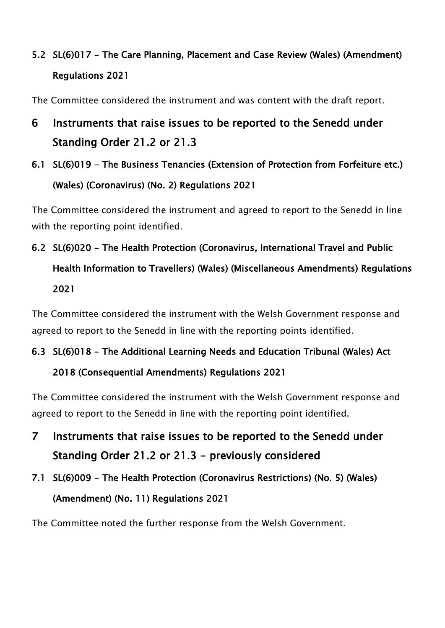## 5.2 SL(6)017 - The Care Planning, Placement and Case Review (Wales) (Amendment) Regulations 2021

The Committee considered the instrument and was content with the draft report.

## 6 Instruments that raise issues to be reported to the Senedd under Standing Order 21.2 or 21.3

6.1 SL(6)019 - The Business Tenancies (Extension of Protection from Forfeiture etc.) (Wales) (Coronavirus) (No. 2) Regulations 2021

The Committee considered the instrument and agreed to report to the Senedd in line with the reporting point identified.

# 6.2 SL(6)020 - The Health Protection (Coronavirus, International Travel and Public Health Information to Travellers) (Wales) (Miscellaneous Amendments) Regulations 2021

The Committee considered the instrument with the Welsh Government response and agreed to report to the Senedd in line with the reporting points identified.

### 6.3 SL(6)018 - The Additional Learning Needs and Education Tribunal (Wales) Act

#### 2018 (Consequential Amendments) Regulations 2021

The Committee considered the instrument with the Welsh Government response and agreed to report to the Senedd in line with the reporting point identified.

- 7 Instruments that raise issues to be reported to the Senedd under Standing Order 21.2 or 21.3 - previously considered
- 7.1 SL(6)009 The Health Protection (Coronavirus Restrictions) (No. 5) (Wales) (Amendment) (No. 11) Regulations 2021

The Committee noted the further response from the Welsh Government.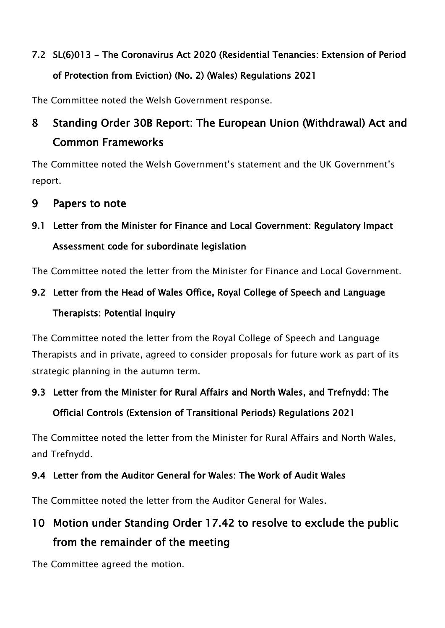# 7.2 SL(6)013 - The Coronavirus Act 2020 (Residential Tenancies: Extension of Period of Protection from Eviction) (No. 2) (Wales) Regulations 2021

The Committee noted the Welsh Government response.

## 8 Standing Order 30B Report: The European Union (Withdrawal) Act and Common Frameworks

The Committee noted the Welsh Government's statement and the UK Government's report.

### 9 Papers to note

## 9.1 Letter from the Minister for Finance and Local Government: Regulatory Impact Assessment code for subordinate legislation

The Committee noted the letter from the Minister for Finance and Local Government.

## 9.2 Letter from the Head of Wales Office, Royal College of Speech and Language Therapists: Potential inquiry

The Committee noted the letter from the Royal College of Speech and Language Therapists and in private, agreed to consider proposals for future work as part of its strategic planning in the autumn term.

### 9.3 Letter from the Minister for Rural Affairs and North Wales, and Trefnydd: The

### Official Controls (Extension of Transitional Periods) Regulations 2021

The Committee noted the letter from the Minister for Rural Affairs and North Wales, and Trefnydd.

### 9.4 Letter from the Auditor General for Wales: The Work of Audit Wales

The Committee noted the letter from the Auditor General for Wales.

## 10 Motion under Standing Order 17.42 to resolve to exclude the public from the remainder of the meeting

The Committee agreed the motion.